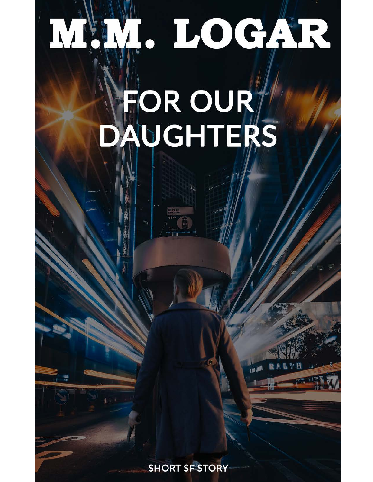## . LOGAR M

## FOR OUR AUGHTERS

**SHORT SF STORY**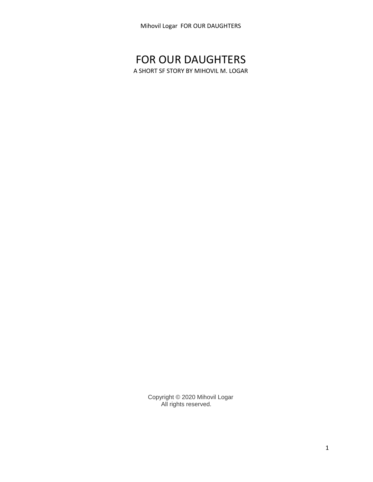## FOR OUR DAUGHTERS

A SHORT SF STORY BY MIHOVIL M. LOGAR

Copyright © 2020 Mihovil Logar All rights reserved.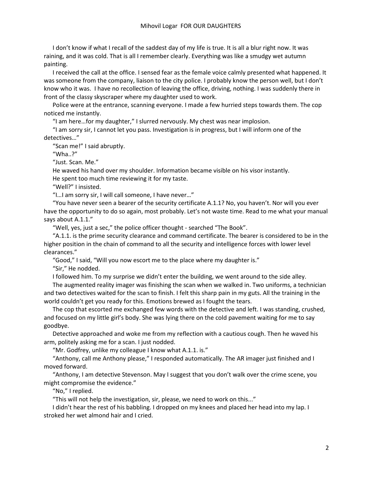I don't know if what I recall of the saddest day of my life is true. It is all a blur right now. It was raining, and it was cold. That is all I remember clearly. Everything was like a smudgy wet autumn painting.

I received the call at the office. I sensed fear as the female voice calmly presented what happened. It was someone from the company, liaison to the city police. I probably know the person well, but I don't know who it was. I have no recollection of leaving the office, driving, nothing. I was suddenly there in front of the classy skyscraper where my daughter used to work.

Police were at the entrance, scanning everyone. I made a few hurried steps towards them. The cop noticed me instantly.

"I am here…for my daughter," I slurred nervously. My chest was near implosion.

"I am sorry sir, I cannot let you pass. Investigation is in progress, but I will inform one of the detectives…"

"Scan me!" I said abruptly.

"Wha..?"

"Just. Scan. Me."

He waved his hand over my shoulder. Information became visible on his visor instantly.

He spent too much time reviewing it for my taste.

"Well?" I insisted.

"I…I am sorry sir, I will call someone, I have never…"

"You have never seen a bearer of the security certificate A.1.1? No, you haven't. Nor will you ever have the opportunity to do so again, most probably. Let's not waste time. Read to me what your manual says about A.1.1."

"Well, yes, just a sec," the police officer thought - searched "The Book".

"A.1.1. is the prime security clearance and command certificate. The bearer is considered to be in the higher position in the chain of command to all the security and intelligence forces with lower level clearances."

"Good," I said, "Will you now escort me to the place where my daughter is."

"Sir," He nodded.

I followed him. To my surprise we didn't enter the building, we went around to the side alley.

The augmented reality imager was finishing the scan when we walked in. Two uniforms, a technician and two detectives waited for the scan to finish. I felt this sharp pain in my guts. All the training in the world couldn't get you ready for this. Emotions brewed as I fought the tears.

The cop that escorted me exchanged few words with the detective and left. I was standing, crushed, and focused on my little girl's body. She was lying there on the cold pavement waiting for me to say goodbye.

Detective approached and woke me from my reflection with a cautious cough. Then he waved his arm, politely asking me for a scan. I just nodded.

"Mr. Godfrey, unlike my colleague I know what A.1.1. is."

"Anthony, call me Anthony please," I responded automatically. The AR imager just finished and I moved forward.

"Anthony, I am detective Stevenson. May I suggest that you don't walk over the crime scene, you might compromise the evidence."

"No," I replied.

"This will not help the investigation, sir, please, we need to work on this..."

I didn't hear the rest of his babbling. I dropped on my knees and placed her head into my lap. I stroked her wet almond hair and I cried.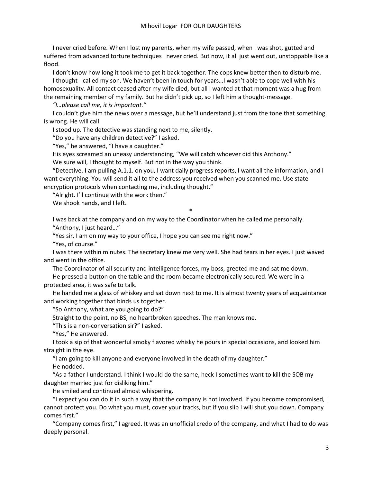I never cried before. When I lost my parents, when my wife passed, when I was shot, gutted and suffered from advanced torture techniques I never cried. But now, it all just went out, unstoppable like a flood.

I don't know how long it took me to get it back together. The cops knew better then to disturb me. I thought - called my son. We haven't been in touch for years…I wasn't able to cope well with his

homosexuality. All contact ceased after my wife died, but all I wanted at that moment was a hug from the remaining member of my family. But he didn't pick up, so I left him a thought-message.

*"I…please call me, it is important."*

I couldn't give him the news over a message, but he'll understand just from the tone that something is wrong. He will call.

I stood up. The detective was standing next to me, silently.

"Do you have any children detective?" I asked.

"Yes," he answered, "I have a daughter."

His eyes screamed an uneasy understanding, "We will catch whoever did this Anthony."

We sure will, I thought to myself. But not in the way you think.

"Detective. I am pulling A.1.1. on you, I want daily progress reports, I want all the information, and I want everything. You will send it all to the address you received when you scanned me. Use state encryption protocols when contacting me, including thought."

"Alright. I'll continue with the work then."

We shook hands, and I left.

\*

I was back at the company and on my way to the Coordinator when he called me personally. "Anthony, I just heard…"

"Yes sir. I am on my way to your office, I hope you can see me right now."

"Yes, of course."

I was there within minutes. The secretary knew me very well. She had tears in her eyes. I just waved and went in the office.

The Coordinator of all security and intelligence forces, my boss, greeted me and sat me down. He pressed a button on the table and the room became electronically secured. We were in a

protected area, it was safe to talk.

He handed me a glass of whiskey and sat down next to me. It is almost twenty years of acquaintance and working together that binds us together.

"So Anthony, what are you going to do?"

Straight to the point, no BS, no heartbroken speeches. The man knows me.

"This is a non-conversation sir?" I asked.

"Yes," He answered.

I took a sip of that wonderful smoky flavored whisky he pours in special occasions, and looked him straight in the eye.

"I am going to kill anyone and everyone involved in the death of my daughter."

He nodded.

"As a father I understand. I think I would do the same, heck I sometimes want to kill the SOB my daughter married just for disliking him."

He smiled and continued almost whispering.

"I expect you can do it in such a way that the company is not involved. If you become compromised, I cannot protect you. Do what you must, cover your tracks, but if you slip I will shut you down. Company comes first."

"Company comes first," I agreed. It was an unofficial credo of the company, and what I had to do was deeply personal.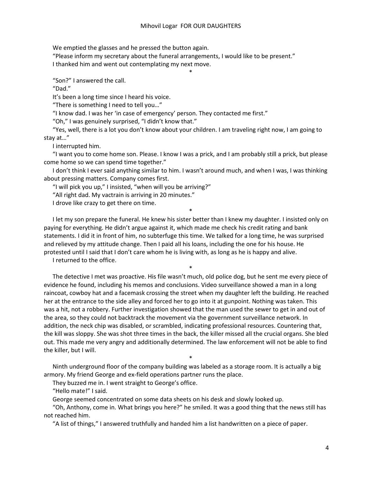\*

We emptied the glasses and he pressed the button again.

"Please inform my secretary about the funeral arrangements, I would like to be present."

I thanked him and went out contemplating my next move.

"Son?" I answered the call.

"Dad."

It's been a long time since I heard his voice.

"There is something I need to tell you…"

"I know dad. I was her 'in case of emergency' person. They contacted me first."

"Oh," I was genuinely surprised, "I didn't know that."

"Yes, well, there is a lot you don't know about your children. I am traveling right now, I am going to stay at…"

I interrupted him.

"I want you to come home son. Please. I know I was a prick, and I am probably still a prick, but please come home so we can spend time together."

I don't think I ever said anything similar to him. I wasn't around much, and when I was, I was thinking about pressing matters. Company comes first.

"I will pick you up," I insisted, "when will you be arriving?"

"All right dad. My vactrain is arriving in 20 minutes."

I drove like crazy to get there on time.

I let my son prepare the funeral. He knew his sister better than I knew my daughter. I insisted only on paying for everything. He didn't argue against it, which made me check his credit rating and bank statements. I did it in front of him, no subterfuge this time. We talked for a long time, he was surprised and relieved by my attitude change. Then I paid all his loans, including the one for his house. He protested until I said that I don't care whom he is living with, as long as he is happy and alive.

\*

\*

I returned to the office.

The detective I met was proactive. His file wasn't much, old police dog, but he sent me every piece of evidence he found, including his memos and conclusions. Video surveillance showed a man in a long raincoat, cowboy hat and a facemask crossing the street when my daughter left the building. He reached her at the entrance to the side alley and forced her to go into it at gunpoint. Nothing was taken. This was a hit, not a robbery. Further investigation showed that the man used the sewer to get in and out of the area, so they could not backtrack the movement via the government surveillance network. In addition, the neck chip was disabled, or scrambled, indicating professional resources. Countering that, the kill was sloppy. She was shot three times in the back, the killer missed all the crucial organs. She bled out. This made me very angry and additionally determined. The law enforcement will not be able to find the killer, but I will.

Ninth underground floor of the company building was labeled as a storage room. It is actually a big armory. My friend George and ex-field operations partner runs the place.

\*

They buzzed me in. I went straight to George's office.

"Hello mate!" I said.

George seemed concentrated on some data sheets on his desk and slowly looked up.

"Oh, Anthony, come in. What brings you here?" he smiled. It was a good thing that the news still has not reached him.

"A list of things," I answered truthfully and handed him a list handwritten on a piece of paper.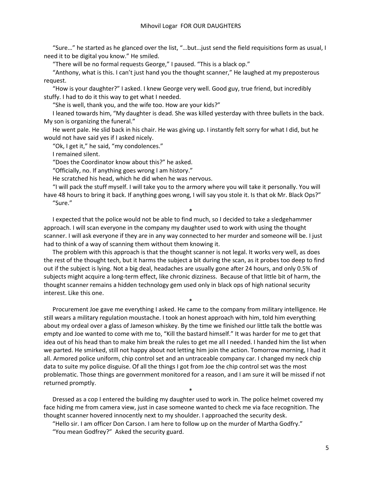"Sure…" he started as he glanced over the list, "…but…just send the field requisitions form as usual, I need it to be digital you know." He smiled.

"There will be no formal requests George," I paused. "This is a black op."

"Anthony, what is this. I can't just hand you the thought scanner," He laughed at my preposterous request.

"How is your daughter?" I asked. I knew George very well. Good guy, true friend, but incredibly stuffy. I had to do it this way to get what I needed.

"She is well, thank you, and the wife too. How are your kids?"

I leaned towards him, "My daughter is dead. She was killed yesterday with three bullets in the back. My son is organizing the funeral."

He went pale. He slid back in his chair. He was giving up. I instantly felt sorry for what I did, but he would not have said yes if I asked nicely.

"Ok, I get it," he said, "my condolences."

I remained silent.

"Does the Coordinator know about this?" he asked.

"Officially, no. If anything goes wrong I am history."

He scratched his head, which he did when he was nervous.

"I will pack the stuff myself. I will take you to the armory where you will take it personally. You will have 48 hours to bring it back. If anything goes wrong, I will say you stole it. Is that ok Mr. Black Ops?" "Sure."

\*

I expected that the police would not be able to find much, so I decided to take a sledgehammer approach. I will scan everyone in the company my daughter used to work with using the thought scanner. I will ask everyone if they are in any way connected to her murder and someone will be. I just had to think of a way of scanning them without them knowing it.

The problem with this approach is that the thought scanner is not legal. It works very well, as does the rest of the thought tech, but it harms the subject a bit during the scan, as it probes too deep to find out if the subject is lying. Not a big deal, headaches are usually gone after 24 hours, and only 0.5% of subjects might acquire a long-term effect, like chronic dizziness. Because of that little bit of harm, the thought scanner remains a hidden technology gem used only in black ops of high national security interest. Like this one.

\*

Procurement Joe gave me everything I asked. He came to the company from military intelligence. He still wears a military regulation moustache. I took an honest approach with him, told him everything about my ordeal over a glass of Jameson whiskey. By the time we finished our little talk the bottle was empty and Joe wanted to come with me to, "Kill the bastard himself." It was harder for me to get that idea out of his head than to make him break the rules to get me all I needed. I handed him the list when we parted. He smirked, still not happy about not letting him join the action. Tomorrow morning, I had it all. Armored police uniform, chip control set and an untraceable company car. I changed my neck chip data to suite my police disguise. Of all the things I got from Joe the chip control set was the most problematic. Those things are government monitored for a reason, and I am sure it will be missed if not returned promptly.

Dressed as a cop I entered the building my daughter used to work in. The police helmet covered my face hiding me from camera view, just in case someone wanted to check me via face recognition. The thought scanner hovered innocently next to my shoulder. I approached the security desk.

\*

"Hello sir. I am officer Don Carson. I am here to follow up on the murder of Martha Godfry." "You mean Godfrey?" Asked the security guard.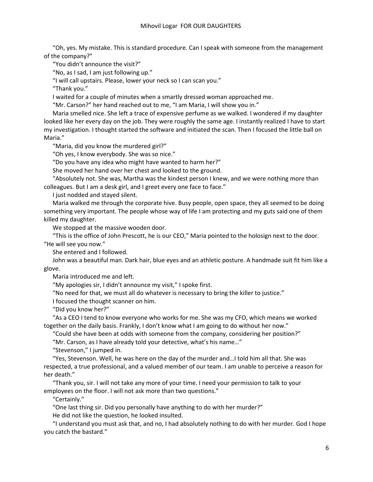"Oh, yes. My mistake. This is standard procedure. Can I speak with someone from the management of the company?"

"You didn't announce the visit?"

"No, as I sad, I am just following up."

"I will call upstairs. Please, lower your neck so I can scan you."

"Thank you."

I waited for a couple of minutes when a smartly dressed woman approached me.

"Mr. Carson?" her hand reached out to me, "I am Maria, I will show you in."

Maria smelled nice. She left a trace of expensive perfume as we walked. I wondered if my daughter looked like her every day on the job. They were roughly the same age. I instantly realized I have to start my investigation. I thought started the software and initiated the scan. Then I focused the little ball on Maria."

"Maria, did you know the murdered girl?"

"Oh yes, I know everybody. She was so nice."

"Do you have any idea who might have wanted to harm her?"

She moved her hand over her chest and looked to the ground.

"Absolutely not. She was, Martha was the kindest person I knew, and we were nothing more than colleagues. But I am a desk girl, and I greet every one face to face."

I just nodded and stayed silent.

Maria walked me through the corporate hive. Busy people, open space, they all seemed to be doing something very important. The people whose way of life I am protecting and my guts said one of them killed my daughter.

We stopped at the massive wooden door.

"This is the office of John Prescott, he is our CEO," Maria pointed to the holosign next to the door. "He will see you now."

She entered and I followed.

John was a beautiful man. Dark hair, blue eyes and an athletic posture. A handmade suit fit him like a glove.

Maria introduced me and left.

"My apologies sir, I didn't announce my visit," I spoke first.

"No need for that, we must all do whatever is necessary to bring the killer to justice."

I focused the thought scanner on him.

"Did you know her?"

"As a CEO I tend to know everyone who works for me. She was my CFO, which means we worked together on the daily basis. Frankly, I don't know what I am going to do without her now."

"Could she have been at odds with someone from the company, considering her position?"

"Mr. Carson, as I have already told your detective, what's his name…"

"Stevenson," I jumped in.

"Yes, Stevenson. Well, he was here on the day of the murder and…I told him all that. She was respected, a true professional, and a valued member of our team. I am unable to perceive a reason for her death."

"Thank you, sir. I will not take any more of your time. I need your permission to talk to your employees on the floor. I will not ask more than two questions."

"Certainly."

"One last thing sir. Did you personally have anything to do with her murder?"

He did not like the question, he looked insulted.

"I understand you must ask that, and no, I had absolutely nothing to do with her murder. God I hope you catch the bastard."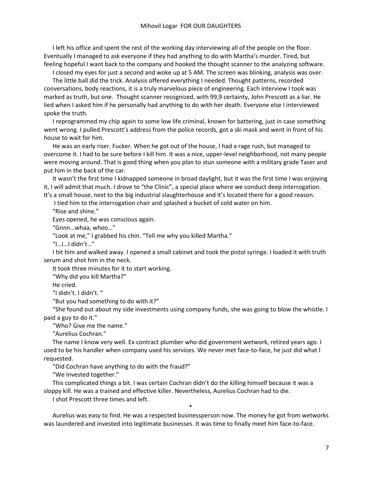I left his office and spent the rest of the working day interviewing all of the people on the floor. Eventually I managed to ask everyone if they had anything to do with Martha's murder. Tired, but feeling hopeful I want back to the company and hooked the thought scanner to the analyzing software.

I closed my eyes for just a second and woke up at 5 AM. The screen was blinking, analysis was over.

The little ball did the trick. Analysis offered everything I needed. Thought patterns, recorded conversations, body reactions, it is a truly marvelous piece of engineering. Each interview I took was marked as truth, but one. Thought scanner recognized, with 99,9 certainty, John Prescott as a liar. He lied when I asked him if he personally had anything to do with her death. Everyone else I interviewed spoke the truth.

I reprogrammed my chip again to some low life criminal, known for battering, just in case something went wrong. I pulled Prescott's address from the police records, got a ski mask and went in front of his house to wait for him.

He was an early riser. Fucker. When he got out of the house, I had a rage rush, but managed to overcome it. I had to be sure before I kill him. It was a nice, upper-level neighborhood, not many people were moving around. That is good thing when you plan to stun someone with a military grade Taser and put him in the back of the car.

It wasn't the first time I kidnapped someone in broad daylight, but it was the first time I was enjoying it, I will admit that much. I drove to "the Clinic", a special place where we conduct deep interrogation. It's a small house, next to the big industrial slaughterhouse and it's located there for a good reason.

I tied him to the interrogation chair and splashed a bucket of cold water on him.

"Rise and shine."

Eyes opened, he was conscious again.

"Gnnn…whaa, whoo…"

"Look at me," I grabbed his chin. "Tell me why you killed Martha."

"I…I…I didn't…"

I hit him and walked away. I opened a small cabinet and took the pistol syringe. I loaded it with truth serum and shot him in the neck.

It took three minutes for it to start working.

"Why did you kill Martha?"

He cried.

"I didn't. I didn't. "

"But you had something to do with it?"

"She found out about my side investments using company funds, she was going to blow the whistle. I paid a guy to do it."

"Who? Give me the name."

"Aurelius Cochran."

The name I know very well. Ex contract plumber who did government wetwork, retired years ago. I used to be his handler when company used his services. We never met face-to-face, he just did what I requested.

"Did Cochran have anything to do with the fraud?"

"We invested together."

This complicated things a bit. I was certain Cochran didn't do the killing himself because it was a sloppy kill. He was a trained and effective killer. Nevertheless, Aurelius Cochran had to die.

I shot Prescott three times and left.

Aurelius was easy to find. He was a respected businessperson now. The money he got from wetworks was laundered and invested into legitimate businesses. It was time to finally meet him face-to-face.

\*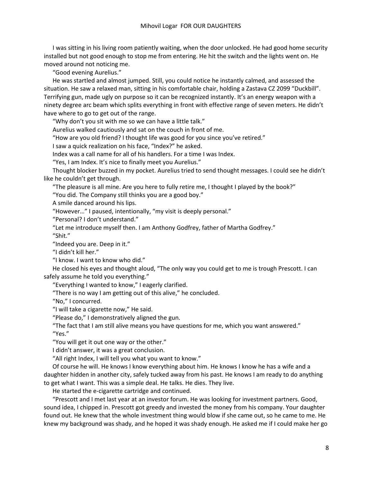I was sitting in his living room patiently waiting, when the door unlocked. He had good home security installed but not good enough to stop me from entering. He hit the switch and the lights went on. He moved around not noticing me.

"Good evening Aurelius."

He was startled and almost jumped. Still, you could notice he instantly calmed, and assessed the situation. He saw a relaxed man, sitting in his comfortable chair, holding a Zastava CZ 2099 "Duckbill". Terrifying gun, made ugly on purpose so it can be recognized instantly. It's an energy weapon with a ninety degree arc beam which splits everything in front with effective range of seven meters. He didn't have where to go to get out of the range.

"Why don't you sit with me so we can have a little talk."

Aurelius walked cautiously and sat on the couch in front of me.

"How are you old friend? I thought life was good for you since you've retired."

I saw a quick realization on his face, "Index?" he asked.

Index was a call name for all of his handlers. For a time I was Index.

"Yes, I am Index. It's nice to finally meet you Aurelius."

Thought blocker buzzed in my pocket. Aurelius tried to send thought messages. I could see he didn't like he couldn't get through.

"The pleasure is all mine. Are you here to fully retire me, I thought I played by the book?"

"You did. The Company still thinks you are a good boy."

A smile danced around his lips.

"However…" I paused, intentionally, "my visit is deeply personal."

"Personal? I don't understand."

"Let me introduce myself then. I am Anthony Godfrey, father of Martha Godfrey."

"Shit."

"Indeed you are. Deep in it."

"I didn't kill her."

"I know. I want to know who did."

He closed his eyes and thought aloud, "The only way you could get to me is trough Prescott. I can safely assume he told you everything."

"Everything I wanted to know," I eagerly clarified.

"There is no way I am getting out of this alive," he concluded.

"No," I concurred.

"I will take a cigarette now," He said.

"Please do," I demonstratively aligned the gun.

"The fact that I am still alive means you have questions for me, which you want answered." "Yes."

"You will get it out one way or the other."

I didn't answer, it was a great conclusion.

"All right Index, I will tell you what you want to know."

Of course he will. He knows I know everything about him. He knows I know he has a wife and a daughter hidden in another city, safely tucked away from his past. He knows I am ready to do anything to get what I want. This was a simple deal. He talks. He dies. They live.

He started the e-cigarette cartridge and continued.

"Prescott and I met last year at an investor forum. He was looking for investment partners. Good, sound idea, I chipped in. Prescott got greedy and invested the money from his company. Your daughter found out. He knew that the whole investment thing would blow if she came out, so he came to me. He knew my background was shady, and he hoped it was shady enough. He asked me if I could make her go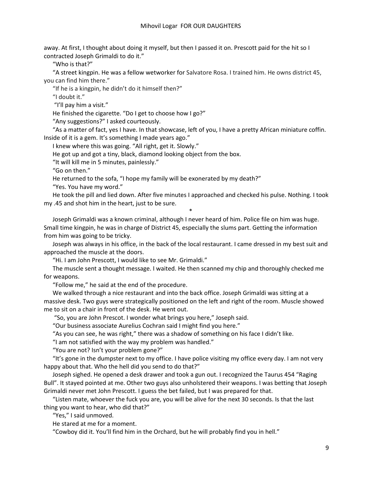away. At first, I thought about doing it myself, but then I passed it on. Prescott paid for the hit so I contracted Joseph Grimaldi to do it."

"Who is that?"

"A street kingpin. He was a fellow wetworker for Salvatore Rosa. I trained him. He owns district 45, you can find him there."

"If he is a kingpin, he didn't do it himself then?"

"I doubt it."

"I'll pay him a visit."

He finished the cigarette. "Do I get to choose how I go?"

"Any suggestions?" I asked courteously.

"As a matter of fact, yes I have. In that showcase, left of you, I have a pretty African miniature coffin. Inside of it is a gem. It's something I made years ago."

I knew where this was going. "All right, get it. Slowly."

He got up and got a tiny, black, diamond looking object from the box.

"It will kill me in 5 minutes, painlessly."

"Go on then."

He returned to the sofa, "I hope my family will be exonerated by my death?"

"Yes. You have my word."

He took the pill and lied down. After five minutes I approached and checked his pulse. Nothing. I took my .45 and shot him in the heart, just to be sure.

\*

Joseph Grimaldi was a known criminal, although I never heard of him. Police file on him was huge. Small time kingpin, he was in charge of District 45, especially the slums part. Getting the information from him was going to be tricky.

Joseph was always in his office, in the back of the local restaurant. I came dressed in my best suit and approached the muscle at the doors.

"Hi. I am John Prescott, I would like to see Mr. Grimaldi."

The muscle sent a thought message. I waited. He then scanned my chip and thoroughly checked me for weapons.

"Follow me," he said at the end of the procedure.

We walked through a nice restaurant and into the back office. Joseph Grimaldi was sitting at a massive desk. Two guys were strategically positioned on the left and right of the room. Muscle showed me to sit on a chair in front of the desk. He went out.

"So, you are John Prescot. I wonder what brings you here," Joseph said.

"Our business associate Aurelius Cochran said I might find you here."

"As you can see, he was right," there was a shadow of something on his face I didn't like.

"I am not satisfied with the way my problem was handled."

"You are not? Isn't your problem gone?"

"It's gone in the dumpster next to my office. I have police visiting my office every day. I am not very happy about that. Who the hell did you send to do that?"

Joseph sighed. He opened a desk drawer and took a gun out. I recognized the Taurus 454 "Raging Bull". It stayed pointed at me. Other two guys also unholstered their weapons. I was betting that Joseph Grimaldi never met John Prescott. I guess the bet failed, but I was prepared for that.

"Listen mate, whoever the fuck you are, you will be alive for the next 30 seconds. Is that the last thing you want to hear, who did that?"

"Yes," I said unmoved.

He stared at me for a moment.

"Cowboy did it. You'll find him in the Orchard, but he will probably find you in hell."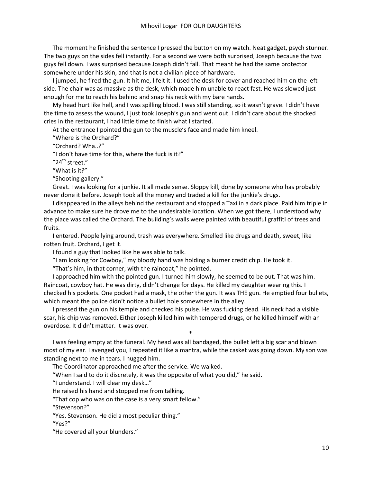The moment he finished the sentence I pressed the button on my watch. Neat gadget, psych stunner. The two guys on the sides fell instantly. For a second we were both surprised, Joseph because the two guys fell down. I was surprised because Joseph didn't fall. That meant he had the same protector somewhere under his skin, and that is not a civilian piece of hardware.

I jumped, he fired the gun. It hit me, I felt it. I used the desk for cover and reached him on the left side. The chair was as massive as the desk, which made him unable to react fast. He was slowed just enough for me to reach his behind and snap his neck with my bare hands.

My head hurt like hell, and I was spilling blood. I was still standing, so it wasn't grave. I didn't have the time to assess the wound, I just took Joseph's gun and went out. I didn't care about the shocked cries in the restaurant, I had little time to finish what I started.

At the entrance I pointed the gun to the muscle's face and made him kneel.

"Where is the Orchard?"

"Orchard? Wha..?"

"I don't have time for this, where the fuck is it?"

"24<sup>th</sup> street."

"What is it?"

"Shooting gallery."

Great. I was looking for a junkie. It all made sense. Sloppy kill, done by someone who has probably never done it before. Joseph took all the money and traded a kill for the junkie's drugs.

I disappeared in the alleys behind the restaurant and stopped a Taxi in a dark place. Paid him triple in advance to make sure he drove me to the undesirable location. When we got there, I understood why the place was called the Orchard. The building's walls were painted with beautiful graffiti of trees and fruits.

I entered. People lying around, trash was everywhere. Smelled like drugs and death, sweet, like rotten fruit. Orchard, I get it.

I found a guy that looked like he was able to talk.

"I am looking for Cowboy," my bloody hand was holding a burner credit chip. He took it.

"That's him, in that corner, with the raincoat," he pointed.

I approached him with the pointed gun. I turned him slowly, he seemed to be out. That was him. Raincoat, cowboy hat. He was dirty, didn't change for days. He killed my daughter wearing this. I checked his pockets. One pocket had a mask, the other the gun. It was THE gun. He emptied four bullets, which meant the police didn't notice a bullet hole somewhere in the alley.

I pressed the gun on his temple and checked his pulse. He was fucking dead. His neck had a visible scar, his chip was removed. Either Joseph killed him with tempered drugs, or he killed himself with an overdose. It didn't matter. It was over.

I was feeling empty at the funeral. My head was all bandaged, the bullet left a big scar and blown most of my ear. I avenged you, I repeated it like a mantra, while the casket was going down. My son was standing next to me in tears. I hugged him.

\*

The Coordinator approached me after the service. We walked.

"When I said to do it discretely, it was the opposite of what you did," he said.

"I understand. I will clear my desk…"

He raised his hand and stopped me from talking.

"That cop who was on the case is a very smart fellow."

"Stevenson?"

"Yes. Stevenson. He did a most peculiar thing."

"Yes?"

"He covered all your blunders."